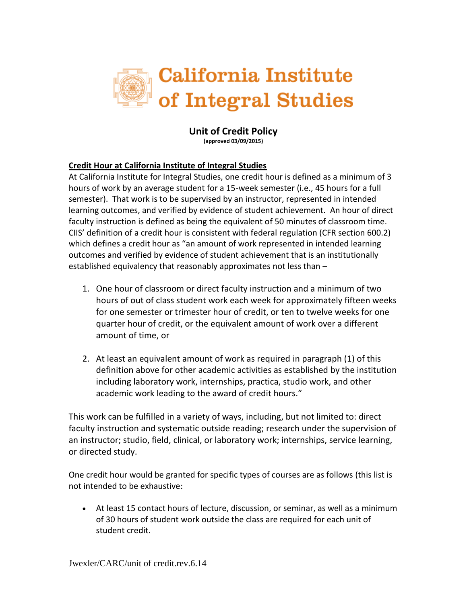

## **Unit of Credit Policy (approved 03/09/2015)**

## **Credit Hour at California Institute of Integral Studies**

At California Institute for Integral Studies, one credit hour is defined as a minimum of 3 hours of work by an average student for a 15-week semester (i.e., 45 hours for a full semester). That work is to be supervised by an instructor, represented in intended learning outcomes, and verified by evidence of student achievement. An hour of direct faculty instruction is defined as being the equivalent of 50 minutes of classroom time. CIIS' definition of a credit hour is consistent with federal regulation (CFR section 600.2) which defines a credit hour as "an amount of work represented in intended learning outcomes and verified by evidence of student achievement that is an institutionally established equivalency that reasonably approximates not less than –

- 1. One hour of classroom or direct faculty instruction and a minimum of two hours of out of class student work each week for approximately fifteen weeks for one semester or trimester hour of credit, or ten to twelve weeks for one quarter hour of credit, or the equivalent amount of work over a different amount of time, or
- 2. At least an equivalent amount of work as required in paragraph (1) of this definition above for other academic activities as established by the institution including laboratory work, internships, practica, studio work, and other academic work leading to the award of credit hours."

This work can be fulfilled in a variety of ways, including, but not limited to: direct faculty instruction and systematic outside reading; research under the supervision of an instructor; studio, field, clinical, or laboratory work; internships, service learning, or directed study.

One credit hour would be granted for specific types of courses are as follows (this list is not intended to be exhaustive:

 At least 15 contact hours of lecture, discussion, or seminar, as well as a minimum of 30 hours of student work outside the class are required for each unit of student credit.